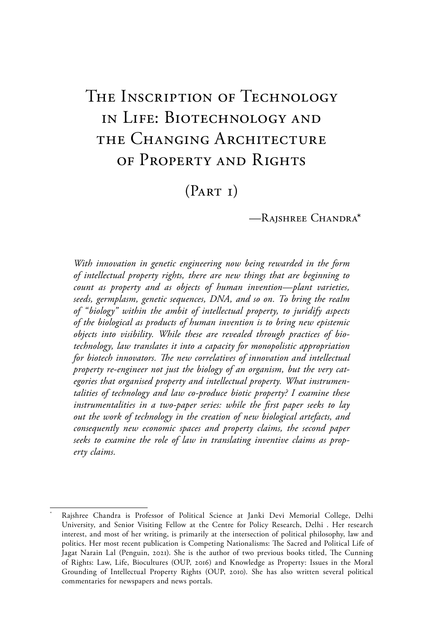# THE INSCRIPTION OF TECHNOLOGY in Life: Biotechnology and the Changing Architecture of Property and Rights

 $(PART I)$ 

—Rajshree Chandra\*

*With innovation in genetic engineering now being rewarded in the form of intellectual property rights, there are new things that are beginning to count as property and as objects of human invention—plant varieties, seeds, germplasm, genetic sequences, DNA, and so on. To bring the realm of "biology" within the ambit of intellectual property, to juridify aspects of the biological as products of human invention is to bring new epistemic objects into visibility. While these are revealed through practices of biotechnology, law translates it into a capacity for monopolistic appropriation for biotech innovators. The new correlatives of innovation and intellectual property re-engineer not just the biology of an organism, but the very categories that organised property and intellectual property. What instrumentalities of technology and law co-produce biotic property? I examine these instrumentalities in a two-paper series: while the first paper seeks to lay out the work of technology in the creation of new biological artefacts, and consequently new economic spaces and property claims, the second paper seeks to examine the role of law in translating inventive claims as property claims.*

Rajshree Chandra is Professor of Political Science at Janki Devi Memorial College, Delhi University, and Senior Visiting Fellow at the Centre for Policy Research, Delhi . Her research interest, and most of her writing, is primarily at the intersection of political philosophy, law and politics. Her most recent publication is Competing Nationalisms: The Sacred and Political Life of Jagat Narain Lal (Penguin, 2021). She is the author of two previous books titled, The Cunning of Rights: Law, Life, Biocultures (OUP, 2016) and Knowledge as Property: Issues in the Moral Grounding of Intellectual Property Rights (OUP, 2010). She has also written several political commentaries for newspapers and news portals.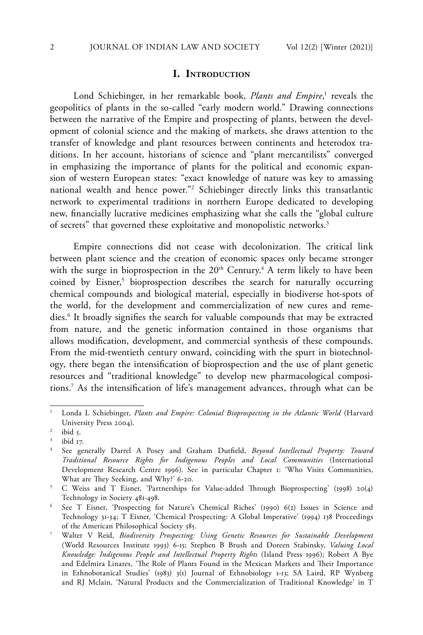#### **I. Introduction**

Lond Schiebinger, in her remarkable book, *Plants and Empire*,<sup>1</sup> reveals the geopolitics of plants in the so-called "early modern world." Drawing connections between the narrative of the Empire and prospecting of plants, between the development of colonial science and the making of markets, she draws attention to the transfer of knowledge and plant resources between continents and heterodox traditions. In her account, historians of science and "plant mercantilists" converged in emphasizing the importance of plants for the political and economic expansion of western European states: "exact knowledge of nature was key to amassing national wealth and hence power."2 Schiebinger directly links this transatlantic network to experimental traditions in northern Europe dedicated to developing new, financially lucrative medicines emphasizing what she calls the "global culture of secrets" that governed these exploitative and monopolistic networks.<sup>3</sup>

Empire connections did not cease with decolonization. The critical link between plant science and the creation of economic spaces only became stronger with the surge in bioprospection in the  $20<sup>th</sup>$  Century.<sup>4</sup> A term likely to have been coined by Eisner,<sup>5</sup> bioprospection describes the search for naturally occurring chemical compounds and biological material, especially in biodiverse hot-spots of the world, for the development and commercialization of new cures and remedies.6 It broadly signifies the search for valuable compounds that may be extracted from nature, and the genetic information contained in those organisms that allows modification, development, and commercial synthesis of these compounds. From the mid-twentieth century onward, coinciding with the spurt in biotechnology, there began the intensification of bioprospection and the use of plant genetic resources and "traditional knowledge" to develop new pharmacological compositions.7 As the intensification of life's management advances, through what can be

<sup>1</sup> Londa L Schiebinger, *Plants and Empire: Colonial Bioprospecting in the Atlantic World* (Harvard University Press 2004).

 $2$  ibid 5.

ibid 17.

<sup>4</sup> See generally Darrel A Posey and Graham Dutfield, *Beyond Intellectual Property: Toward Traditional Resource Rights for Indigenous Peoples and Local Communities* (International Development Research Centre 1996). See in particular Chapter 1: 'Who Visits Communities, What are They Seeking, and Why?' 6-20.

<sup>5</sup> C Weiss and T Eisner, 'Partnerships for Value-added Through Bioprospecting' (1998) 20(4) Technology in Society 481-498.

<sup>6</sup> See T Eisner, 'Prospecting for Nature's Chemical Riches' (1990) 6(2) Issues in Science and Technology 31-34; T Eisner, 'Chemical Prospecting: A Global Imperative' (1994) 138 Proceedings of the American Philosophical Society 385.

<sup>7</sup> Walter V Reid, *Biodiversity Prospecting: Using Genetic Resources for Sustainable Development* (World Resources Institute 1993) 6-15; Stephen B Brush and Doreen Stabinsky, *Valuing Local Knowledge: Indigenous People and Intellectual Property Rights* (Island Press 1996); Robert A Bye and Edelmira Linares, 'The Role of Plants Found in the Mexican Markets and Their Importance in Ethnobotanical Studies' (1983) 3(1) Journal of Ethnobiology 1-13; SA Laird, RP Wynberg and RJ Mclain, 'Natural Products and the Commercialization of Traditional Knowledge' in T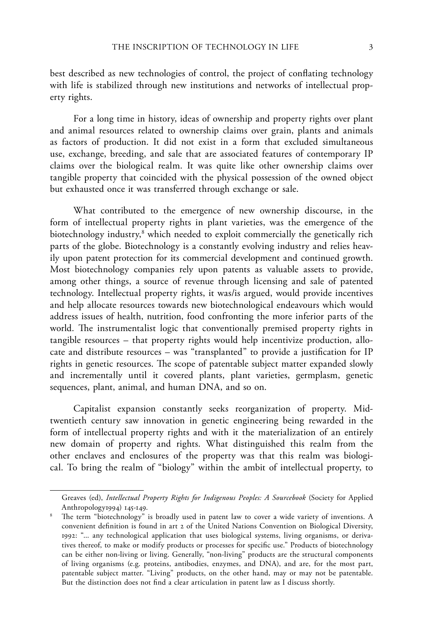best described as new technologies of control, the project of conflating technology with life is stabilized through new institutions and networks of intellectual property rights.

For a long time in history, ideas of ownership and property rights over plant and animal resources related to ownership claims over grain, plants and animals as factors of production. It did not exist in a form that excluded simultaneous use, exchange, breeding, and sale that are associated features of contemporary IP claims over the biological realm. It was quite like other ownership claims over tangible property that coincided with the physical possession of the owned object but exhausted once it was transferred through exchange or sale.

What contributed to the emergence of new ownership discourse, in the form of intellectual property rights in plant varieties, was the emergence of the biotechnology industry,<sup>8</sup> which needed to exploit commercially the genetically rich parts of the globe. Biotechnology is a constantly evolving industry and relies heavily upon patent protection for its commercial development and continued growth. Most biotechnology companies rely upon patents as valuable assets to provide, among other things, a source of revenue through licensing and sale of patented technology. Intellectual property rights, it was/is argued, would provide incentives and help allocate resources towards new biotechnological endeavours which would address issues of health, nutrition, food confronting the more inferior parts of the world. The instrumentalist logic that conventionally premised property rights in tangible resources – that property rights would help incentivize production, allocate and distribute resources – was "transplanted" to provide a justification for IP rights in genetic resources. The scope of patentable subject matter expanded slowly and incrementally until it covered plants, plant varieties, germplasm, genetic sequences, plant, animal, and human DNA, and so on.

Capitalist expansion constantly seeks reorganization of property. Midtwentieth century saw innovation in genetic engineering being rewarded in the form of intellectual property rights and with it the materialization of an entirely new domain of property and rights. What distinguished this realm from the other enclaves and enclosures of the property was that this realm was biological. To bring the realm of "biology" within the ambit of intellectual property, to

Greaves (ed), *Intellectual Property Rights for Indigenous Peoples: A Sourcebook* (Society for Applied Anthropology1994) 145-149.

The term "biotechnology" is broadly used in patent law to cover a wide variety of inventions. A convenient definition is found in art 2 of the United Nations Convention on Biological Diversity, 1992: "... any technological application that uses biological systems, living organisms, or derivatives thereof, to make or modify products or processes for specific use." Products of biotechnology can be either non-living or living. Generally, "non-living" products are the structural components of living organisms (e.g. proteins, antibodies, enzymes, and DNA), and are, for the most part, patentable subject matter. "Living" products, on the other hand, may or may not be patentable. But the distinction does not find a clear articulation in patent law as I discuss shortly.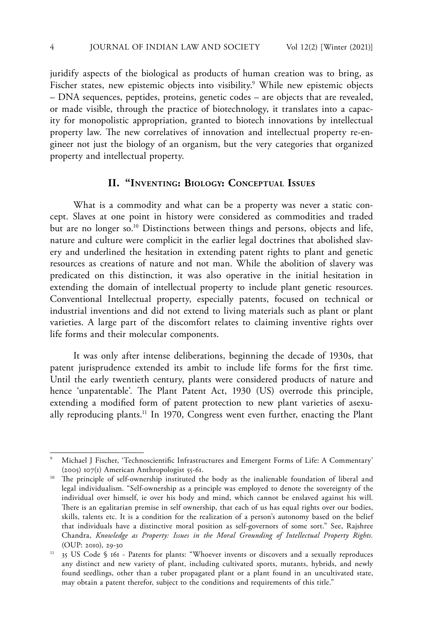juridify aspects of the biological as products of human creation was to bring, as Fischer states, new epistemic objects into visibility.<sup>9</sup> While new epistemic objects – DNA sequences, peptides, proteins, genetic codes – are objects that are revealed, or made visible, through the practice of biotechnology, it translates into a capacity for monopolistic appropriation, granted to biotech innovations by intellectual property law. The new correlatives of innovation and intellectual property re-engineer not just the biology of an organism, but the very categories that organized property and intellectual property.

# **II. "Inventing: Biology: Conceptual Issues**

What is a commodity and what can be a property was never a static concept. Slaves at one point in history were considered as commodities and traded but are no longer so.10 Distinctions between things and persons, objects and life, nature and culture were complicit in the earlier legal doctrines that abolished slavery and underlined the hesitation in extending patent rights to plant and genetic resources as creations of nature and not man. While the abolition of slavery was predicated on this distinction, it was also operative in the initial hesitation in extending the domain of intellectual property to include plant genetic resources. Conventional Intellectual property, especially patents, focused on technical or industrial inventions and did not extend to living materials such as plant or plant varieties. A large part of the discomfort relates to claiming inventive rights over life forms and their molecular components.

It was only after intense deliberations, beginning the decade of 1930s, that patent jurisprudence extended its ambit to include life forms for the first time. Until the early twentieth century, plants were considered products of nature and hence 'unpatentable'. The Plant Patent Act, 1930 (US) overrode this principle, extending a modified form of patent protection to new plant varieties of asexually reproducing plants.<sup>11</sup> In 1970, Congress went even further, enacting the Plant

<sup>9</sup> Michael J Fischer, 'Technoscientific Infrastructures and Emergent Forms of Life: A Commentary' (2005) 107(1) American Anthropologist 55-61.

<sup>&</sup>lt;sup>10</sup> The principle of self-ownership instituted the body as the inalienable foundation of liberal and legal individualism. "Self-ownership as a principle was employed to denote the sovereignty of the individual over himself, ie over his body and mind, which cannot be enslaved against his will. There is an egalitarian premise in self ownership, that each of us has equal rights over our bodies, skills, talents etc. It is a condition for the realization of a person's autonomy based on the belief that individuals have a distinctive moral position as self-governors of some sort." See, Rajshree Chandra, *Knowledge as Property: Issues in the Moral Grounding of Intellectual Property Rights.*  (OUP: 2010), 29-30

<sup>&</sup>lt;sup>11</sup> 35 US Code § 161 - Patents for plants: "Whoever invents or discovers and a sexually reproduces any distinct and new variety of plant, including cultivated sports, mutants, hybrids, and newly found seedlings, other than a tuber propagated plant or a plant found in an uncultivated state, may obtain a patent therefor, subject to the conditions and requirements of this title."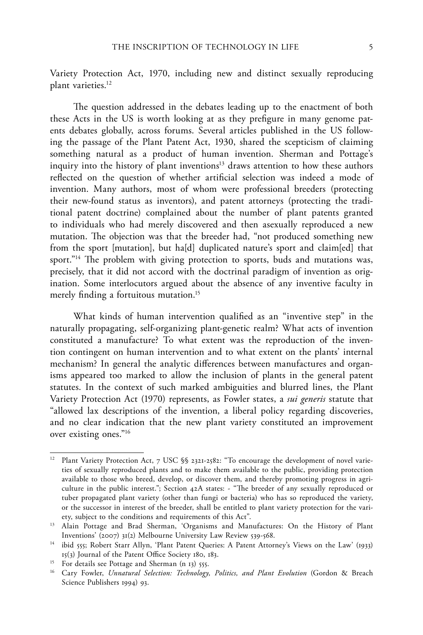Variety Protection Act, 1970, including new and distinct sexually reproducing plant varieties.<sup>12</sup>

The question addressed in the debates leading up to the enactment of both these Acts in the US is worth looking at as they prefigure in many genome patents debates globally, across forums. Several articles published in the US following the passage of the Plant Patent Act, 1930, shared the scepticism of claiming something natural as a product of human invention. Sherman and Pottage's inquiry into the history of plant inventions<sup>13</sup> draws attention to how these authors reflected on the question of whether artificial selection was indeed a mode of invention. Many authors, most of whom were professional breeders (protecting their new-found status as inventors), and patent attorneys (protecting the traditional patent doctrine) complained about the number of plant patents granted to individuals who had merely discovered and then asexually reproduced a new mutation. The objection was that the breeder had, "not produced something new from the sport [mutation], but ha[d] duplicated nature's sport and claim[ed] that sport."<sup>14</sup> The problem with giving protection to sports, buds and mutations was, precisely, that it did not accord with the doctrinal paradigm of invention as origination. Some interlocutors argued about the absence of any inventive faculty in merely finding a fortuitous mutation.<sup>15</sup>

What kinds of human intervention qualified as an "inventive step" in the naturally propagating, self-organizing plant-genetic realm? What acts of invention constituted a manufacture? To what extent was the reproduction of the invention contingent on human intervention and to what extent on the plants' internal mechanism? In general the analytic differences between manufactures and organisms appeared too marked to allow the inclusion of plants in the general patent statutes. In the context of such marked ambiguities and blurred lines, the Plant Variety Protection Act (1970) represents, as Fowler states, a *sui generis* statute that "allowed lax descriptions of the invention, a liberal policy regarding discoveries, and no clear indication that the new plant variety constituted an improvement over existing ones."16

<sup>&</sup>lt;sup>12</sup> Plant Variety Protection Act, 7 USC §§ 2321-2582: "To encourage the development of novel varieties of sexually reproduced plants and to make them available to the public, providing protection available to those who breed, develop, or discover them, and thereby promoting progress in agriculture in the public interest."; Section 42A states: - "The breeder of any sexually reproduced or tuber propagated plant variety (other than fungi or bacteria) who has so reproduced the variety, or the successor in interest of the breeder, shall be entitled to plant variety protection for the variety, subject to the conditions and requirements of this Act".

<sup>&</sup>lt;sup>13</sup> Alain Pottage and Brad Sherman, 'Organisms and Manufactures: On the History of Plant Inventions' (2007) 31(2) Melbourne University Law Review 539-568.

<sup>&</sup>lt;sup>14</sup> ibid 555; Robert Starr Allyn, 'Plant Patent Queries: A Patent Attorney's Views on the Law' (1933) 15(3) Journal of the Patent Office Society 180, 183.

<sup>&</sup>lt;sup>15</sup> For details see Pottage and Sherman (n 13) 555.

<sup>16</sup> Cary Fowler, *Unnatural Selection: Technology, Politics, and Plant Evolution* (Gordon & Breach Science Publishers 1994) 93.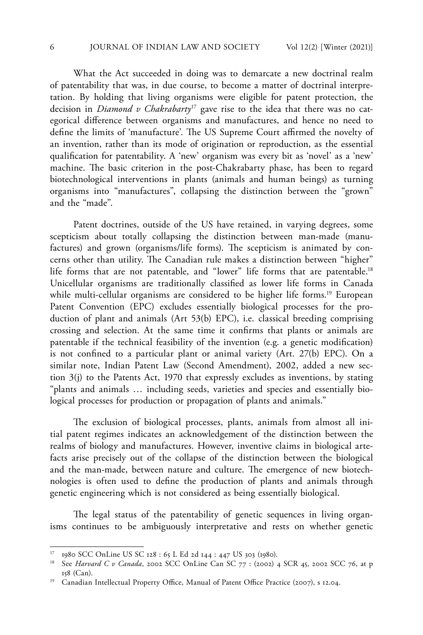What the Act succeeded in doing was to demarcate a new doctrinal realm of patentability that was, in due course, to become a matter of doctrinal interpretation. By holding that living organisms were eligible for patent protection, the decision in *Diamond v Chakrabarty*17 gave rise to the idea that there was no categorical difference between organisms and manufactures, and hence no need to define the limits of 'manufacture'. The US Supreme Court affirmed the novelty of an invention, rather than its mode of origination or reproduction, as the essential qualification for patentability. A 'new' organism was every bit as 'novel' as a 'new' machine. The basic criterion in the post-Chakrabarty phase, has been to regard biotechnological interventions in plants (animals and human beings) as turning organisms into "manufactures", collapsing the distinction between the "grown" and the "made".

Patent doctrines, outside of the US have retained, in varying degrees, some scepticism about totally collapsing the distinction between man-made (manufactures) and grown (organisms/life forms). The scepticism is animated by concerns other than utility. The Canadian rule makes a distinction between "higher" life forms that are not patentable, and "lower" life forms that are patentable.<sup>18</sup> Unicellular organisms are traditionally classified as lower life forms in Canada while multi-cellular organisms are considered to be higher life forms.<sup>19</sup> European Patent Convention (EPC) excludes essentially biological processes for the production of plant and animals (Art 53(b) EPC), i.e. classical breeding comprising crossing and selection. At the same time it confirms that plants or animals are patentable if the technical feasibility of the invention (e.g. a genetic modification) is not confined to a particular plant or animal variety (Art. 27(b) EPC). On a similar note, Indian Patent Law (Second Amendment), 2002, added a new section 3(j) to the Patents Act, 1970 that expressly excludes as inventions, by stating "plants and animals … including seeds, varieties and species and essentially biological processes for production or propagation of plants and animals."

The exclusion of biological processes, plants, animals from almost all initial patent regimes indicates an acknowledgement of the distinction between the realms of biology and manufactures. However, inventive claims in biological artefacts arise precisely out of the collapse of the distinction between the biological and the man-made, between nature and culture. The emergence of new biotechnologies is often used to define the production of plants and animals through genetic engineering which is not considered as being essentially biological.

The legal status of the patentability of genetic sequences in living organisms continues to be ambiguously interpretative and rests on whether genetic

<sup>17</sup> 1980 SCC OnLine US SC 128 : 65 L Ed 2d 144 : 447 US 303 (1980).

<sup>18</sup> See *Harvard C v Canada*, 2002 SCC OnLine Can SC 77 : (2002) 4 SCR 45, 2002 SCC 76, at p 158 (Can).

<sup>&</sup>lt;sup>19</sup> Canadian Intellectual Property Office, Manual of Patent Office Practice (2007), s 12.04.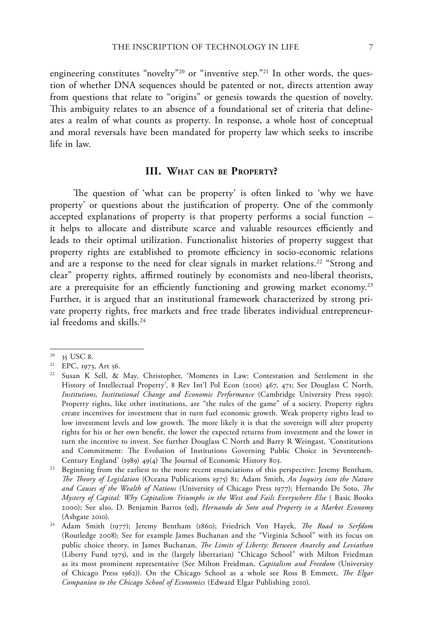engineering constitutes "novelty"<sup>20</sup> or "inventive step."<sup>21</sup> In other words, the question of whether DNA sequences should be patented or not, directs attention away from questions that relate to "origins" or genesis towards the question of novelty. This ambiguity relates to an absence of a foundational set of criteria that delineates a realm of what counts as property. In response, a whole host of conceptual and moral reversals have been mandated for property law which seeks to inscribe life in law.

# **III. What can be Property?**

The question of 'what can be property' is often linked to 'why we have property' or questions about the justification of property. One of the commonly accepted explanations of property is that property performs a social function – it helps to allocate and distribute scarce and valuable resources efficiently and leads to their optimal utilization. Functionalist histories of property suggest that property rights are established to promote efficiency in socio-economic relations and are a response to the need for clear signals in market relations.<sup>22</sup> "Strong and clear" property rights, affirmed routinely by economists and neo-liberal theorists, are a prerequisite for an efficiently functioning and growing market economy.<sup>23</sup> Further, it is argued that an institutional framework characterized by strong private property rights, free markets and free trade liberates individual entrepreneurial freedoms and skills.<sup>24</sup>

 $20$  35 USC 8.

<sup>21</sup> EPC, 1973, Art 56.

<sup>22</sup> Susan K Sell, & May, Christopher, 'Moments in Law: Contestation and Settlement in the History of Intellectual Property', 8 Rev Int'l Pol Econ (2001) 467, 471; See Douglass C North, *Institutions, Institutional Change and Economic Performance* (Cambridge University Press 1990): Property rights, like other institutions, are "the rules of the game" of a society. Property rights create incentives for investment that in turn fuel economic growth. Weak property rights lead to low investment levels and low growth. The more likely it is that the sovereign will alter property rights for his or her own benefit, the lower the expected returns from investment and the lower in turn the incentive to invest. See further Douglass C North and Barry R Weingast, 'Constitutions and Commitment: The Evolution of Institutions Governing Public Choice in Seventeenth-Century England' (1989) 49(4) The Journal of Economic History 803.

<sup>&</sup>lt;sup>23</sup> Beginning from the earliest to the more recent enunciations of this perspective: Jeremy Bentham, *The Theory of Legislation* (Oceana Publications 1975) 81; Adam Smith, *An Inquiry into the Nature and Causes of the Wealth of Nations* (University of Chicago Press 1977); Hernando De Soto, *The Mystery of Capital: Why Capitalism Triumphs in the West and Fails Everywhere Else* ( Basic Books 2000); See also, D. Benjamin Barros (ed), *Hernando de Soto and Property in a Market Economy* (Ashgate 2010).

<sup>24</sup> Adam Smith (1977); Jeremy Bentham (1860); Friedrich Von Hayek, *The Road to Serfdom* (Routledge 2008); See for example James Buchanan and the "Virginia School" with its focus on public choice theory, in James Buchanan, *The Limits of Liberty: Between Anarchy and Leviathan* (Liberty Fund 1975), and in the (largely libertarian) "Chicago School" with Milton Friedman as its most prominent representative (See Milton Freidman, *Capitalism and Freedom* (University of Chicago Press 1962)). On the Chicago School as a whole see Ross B Emmett, *The Elgar Companion to the Chicago School of Economics* (Edward Elgar Publishing 2010).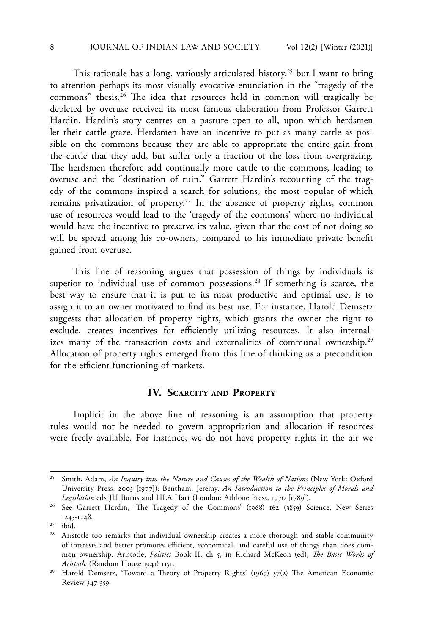This rationale has a long, variously articulated history,<sup>25</sup> but I want to bring to attention perhaps its most visually evocative enunciation in the "tragedy of the commons" thesis.26 The idea that resources held in common will tragically be depleted by overuse received its most famous elaboration from Professor Garrett Hardin. Hardin's story centres on a pasture open to all, upon which herdsmen let their cattle graze. Herdsmen have an incentive to put as many cattle as possible on the commons because they are able to appropriate the entire gain from the cattle that they add, but suffer only a fraction of the loss from overgrazing. The herdsmen therefore add continually more cattle to the commons, leading to overuse and the "destination of ruin." Garrett Hardin's recounting of the tragedy of the commons inspired a search for solutions, the most popular of which remains privatization of property.<sup>27</sup> In the absence of property rights, common use of resources would lead to the 'tragedy of the commons' where no individual would have the incentive to preserve its value, given that the cost of not doing so will be spread among his co-owners, compared to his immediate private benefit gained from overuse.

This line of reasoning argues that possession of things by individuals is superior to individual use of common possessions.<sup>28</sup> If something is scarce, the best way to ensure that it is put to its most productive and optimal use, is to assign it to an owner motivated to find its best use. For instance, Harold Demsetz suggests that allocation of property rights, which grants the owner the right to exclude, creates incentives for efficiently utilizing resources. It also internalizes many of the transaction costs and externalities of communal ownership.29 Allocation of property rights emerged from this line of thinking as a precondition for the efficient functioning of markets.

## **IV. Scarcity and Property**

Implicit in the above line of reasoning is an assumption that property rules would not be needed to govern appropriation and allocation if resources were freely available. For instance, we do not have property rights in the air we

<sup>&</sup>lt;sup>25</sup> Smith, Adam, *An Inquiry into the Nature and Causes of the Wealth of Nations* (New York: Oxford University Press, 2003 [1977]); Bentham, Jeremy, *An Introduction to the Principles of Morals and Legislation* eds JH Burns and HLA Hart (London: Athlone Press, 1970 [1789]).

<sup>26</sup> See Garrett Hardin, 'The Tragedy of the Commons' (1968) 162 (3859) Science, New Series 1243-1248.

<sup>&</sup>lt;sup>27</sup> ibid.<br><sup>28</sup> Ariet

Aristotle too remarks that individual ownership creates a more thorough and stable community of interests and better promotes efficient, economical, and careful use of things than does common ownership. Aristotle, *Politics* Book II, ch 5, in Richard McKeon (ed), *The Basic Works of Aristotle* (Random House 1941) 1151.

<sup>&</sup>lt;sup>29</sup> Harold Demsetz, 'Toward a Theory of Property Rights' (1967) 57(2) The American Economic Review 347-359.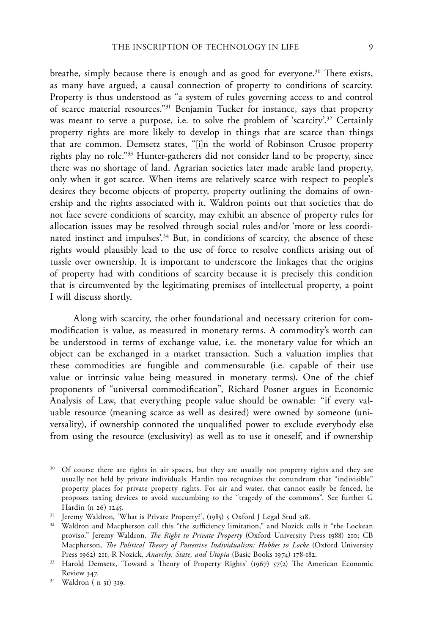breathe, simply because there is enough and as good for everyone.<sup>30</sup> There exists, as many have argued, a causal connection of property to conditions of scarcity. Property is thus understood as "a system of rules governing access to and control of scarce material resources."31 Benjamin Tucker for instance, says that property was meant to serve a purpose, i.e. to solve the problem of 'scarcity'.<sup>32</sup> Certainly property rights are more likely to develop in things that are scarce than things that are common. Demsetz states, "[i]n the world of Robinson Crusoe property rights play no role."33 Hunter-gatherers did not consider land to be property, since there was no shortage of land. Agrarian societies later made arable land property, only when it got scarce. When items are relatively scarce with respect to people's desires they become objects of property, property outlining the domains of ownership and the rights associated with it. Waldron points out that societies that do not face severe conditions of scarcity, may exhibit an absence of property rules for allocation issues may be resolved through social rules and/or 'more or less coordinated instinct and impulses'.<sup>34</sup> But, in conditions of scarcity, the absence of these rights would plausibly lead to the use of force to resolve conflicts arising out of tussle over ownership. It is important to underscore the linkages that the origins of property had with conditions of scarcity because it is precisely this condition that is circumvented by the legitimating premises of intellectual property, a point I will discuss shortly.

Along with scarcity, the other foundational and necessary criterion for commodification is value, as measured in monetary terms. A commodity's worth can be understood in terms of exchange value, i.e. the monetary value for which an object can be exchanged in a market transaction. Such a valuation implies that these commodities are fungible and commensurable (i.e. capable of their use value or intrinsic value being measured in monetary terms). One of the chief proponents of "universal commodification", Richard Posner argues in Economic Analysis of Law, that everything people value should be ownable: "if every valuable resource (meaning scarce as well as desired) were owned by someone (universality), if ownership connoted the unqualified power to exclude everybody else from using the resource (exclusivity) as well as to use it oneself, and if ownership

<sup>&</sup>lt;sup>30</sup> Of course there are rights in air spaces, but they are usually not property rights and they are usually not held by private individuals. Hardin too recognizes the conundrum that "indivisible" property places for private property rights. For air and water, that cannot easily be fenced, he proposes taxing devices to avoid succumbing to the "tragedy of the commons". See further G Hardin (n 26) 1245.

<sup>&</sup>lt;sup>31</sup> Jeremy Waldron, 'What is Private Property?', (1985) 5 Oxford J Legal Stud 318.

<sup>&</sup>lt;sup>32</sup> Waldron and Macpherson call this "the sufficiency limitation," and Nozick calls it "the Lockean proviso." Jeremy Waldron, *The Right to Private Property* (Oxford University Press 1988) 210; CB Macpherson, *The Political Theory of Possessive Individualism: Hobbes to Locke* (Oxford University Press 1962) 211; R Nozick, *Anarchy, State, and Utopia* (Basic Books 1974) 178-182.

<sup>&</sup>lt;sup>33</sup> Harold Demsetz, 'Toward a Theory of Property Rights' (1967) 57(2) The American Economic Review 347.

<sup>34</sup> Waldron ( n 31) 319.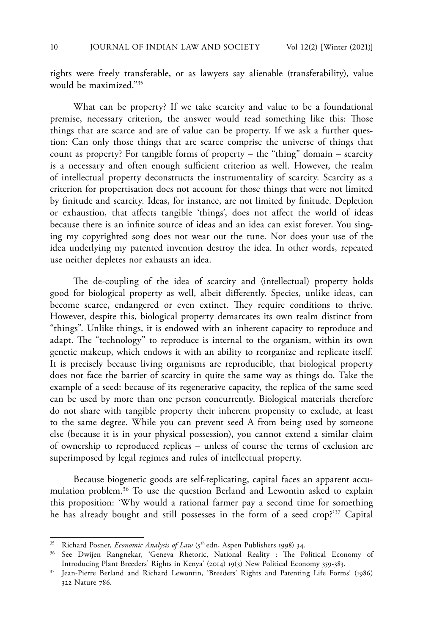rights were freely transferable, or as lawyers say alienable (transferability), value would be maximized."35

What can be property? If we take scarcity and value to be a foundational premise, necessary criterion, the answer would read something like this: Those things that are scarce and are of value can be property. If we ask a further question: Can only those things that are scarce comprise the universe of things that count as property? For tangible forms of property – the "thing" domain – scarcity is a necessary and often enough sufficient criterion as well. However, the realm of intellectual property deconstructs the instrumentality of scarcity. Scarcity as a criterion for propertisation does not account for those things that were not limited by finitude and scarcity. Ideas, for instance, are not limited by finitude. Depletion or exhaustion, that affects tangible 'things', does not affect the world of ideas because there is an infinite source of ideas and an idea can exist forever. You singing my copyrighted song does not wear out the tune. Nor does your use of the idea underlying my patented invention destroy the idea. In other words, repeated use neither depletes nor exhausts an idea.

The de-coupling of the idea of scarcity and (intellectual) property holds good for biological property as well, albeit differently. Species, unlike ideas, can become scarce, endangered or even extinct. They require conditions to thrive. However, despite this, biological property demarcates its own realm distinct from "things". Unlike things, it is endowed with an inherent capacity to reproduce and adapt. The "technology" to reproduce is internal to the organism, within its own genetic makeup, which endows it with an ability to reorganize and replicate itself. It is precisely because living organisms are reproducible, that biological property does not face the barrier of scarcity in quite the same way as things do. Take the example of a seed: because of its regenerative capacity, the replica of the same seed can be used by more than one person concurrently. Biological materials therefore do not share with tangible property their inherent propensity to exclude, at least to the same degree. While you can prevent seed A from being used by someone else (because it is in your physical possession), you cannot extend a similar claim of ownership to reproduced replicas – unless of course the terms of exclusion are superimposed by legal regimes and rules of intellectual property.

Because biogenetic goods are self-replicating, capital faces an apparent accumulation problem.36 To use the question Berland and Lewontin asked to explain this proposition: 'Why would a rational farmer pay a second time for something he has already bought and still possesses in the form of a seed crop?'37 Capital

<sup>&</sup>lt;sup>35</sup> Richard Posner, *Economic Analysis of Law* (5<sup>th</sup> edn, Aspen Publishers 1998) 34.

<sup>36</sup> See Dwijen Rangnekar, 'Geneva Rhetoric, National Reality : The Political Economy of Introducing Plant Breeders' Rights in Kenya' (2014) 19(3) New Political Economy 359-383.

<sup>37</sup> Jean-Pierre Berland and Richard Lewontin, 'Breeders' Rights and Patenting Life Forms' (1986) 322 Nature 786.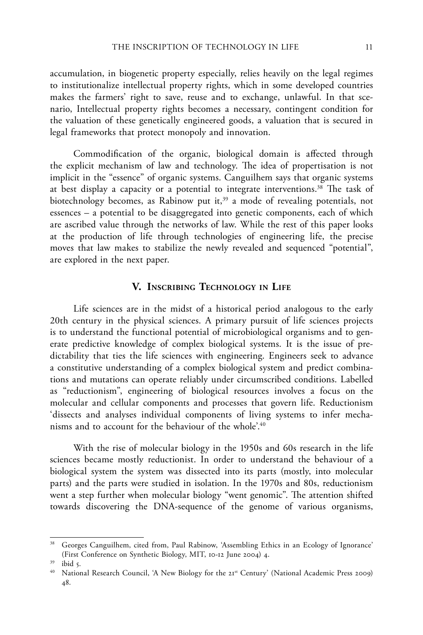accumulation, in biogenetic property especially, relies heavily on the legal regimes to institutionalize intellectual property rights, which in some developed countries makes the farmers' right to save, reuse and to exchange, unlawful. In that scenario, Intellectual property rights becomes a necessary, contingent condition for the valuation of these genetically engineered goods, a valuation that is secured in legal frameworks that protect monopoly and innovation.

Commodification of the organic, biological domain is affected through the explicit mechanism of law and technology. The idea of propertisation is not implicit in the "essence" of organic systems. Canguilhem says that organic systems at best display a capacity or a potential to integrate interventions.38 The task of biotechnology becomes, as Rabinow put it,<sup>39</sup> a mode of revealing potentials, not essences – a potential to be disaggregated into genetic components, each of which are ascribed value through the networks of law. While the rest of this paper looks at the production of life through technologies of engineering life, the precise moves that law makes to stabilize the newly revealed and sequenced "potential", are explored in the next paper.

## **V. Inscribing Technology in Life**

Life sciences are in the midst of a historical period analogous to the early 20th century in the physical sciences. A primary pursuit of life sciences projects is to understand the functional potential of microbiological organisms and to generate predictive knowledge of complex biological systems. It is the issue of predictability that ties the life sciences with engineering. Engineers seek to advance a constitutive understanding of a complex biological system and predict combinations and mutations can operate reliably under circumscribed conditions. Labelled as "reductionism", engineering of biological resources involves a focus on the molecular and cellular components and processes that govern life. Reductionism 'dissects and analyses individual components of living systems to infer mechanisms and to account for the behaviour of the whole'.40

With the rise of molecular biology in the 1950s and 60s research in the life sciences became mostly reductionist. In order to understand the behaviour of a biological system the system was dissected into its parts (mostly, into molecular parts) and the parts were studied in isolation. In the 1970s and 80s, reductionism went a step further when molecular biology "went genomic". The attention shifted towards discovering the DNA-sequence of the genome of various organisms,

<sup>38</sup> Georges Canguilhem, cited from, Paul Rabinow, 'Assembling Ethics in an Ecology of Ignorance' (First Conference on Synthetic Biology, MIT, 10-12 June 2004) 4.

<sup>39</sup> ibid 5.

<sup>&</sup>lt;sup>40</sup> National Research Council, 'A New Biology for the 21<sup>st</sup> Century' (National Academic Press 2009) 48.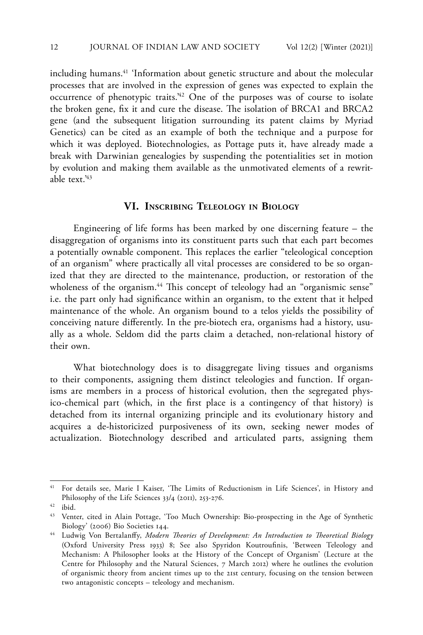including humans.<sup>41</sup> 'Information about genetic structure and about the molecular processes that are involved in the expression of genes was expected to explain the occurrence of phenotypic traits.'42 One of the purposes was of course to isolate the broken gene, fix it and cure the disease. The isolation of BRCA1 and BRCA2 gene (and the subsequent litigation surrounding its patent claims by Myriad Genetics) can be cited as an example of both the technique and a purpose for which it was deployed. Biotechnologies, as Pottage puts it, have already made a break with Darwinian genealogies by suspending the potentialities set in motion by evolution and making them available as the unmotivated elements of a rewritable text.'43

#### **VI. Inscribing Teleology in Biology**

Engineering of life forms has been marked by one discerning feature – the disaggregation of organisms into its constituent parts such that each part becomes a potentially ownable component. This replaces the earlier "teleological conception of an organism" where practically all vital processes are considered to be so organized that they are directed to the maintenance, production, or restoration of the wholeness of the organism.<sup>44</sup> This concept of teleology had an "organismic sense" i.e. the part only had significance within an organism, to the extent that it helped maintenance of the whole. An organism bound to a telos yields the possibility of conceiving nature differently. In the pre-biotech era, organisms had a history, usually as a whole. Seldom did the parts claim a detached, non-relational history of their own.

What biotechnology does is to disaggregate living tissues and organisms to their components, assigning them distinct teleologies and function. If organisms are members in a process of historical evolution, then the segregated physico-chemical part (which, in the first place is a contingency of that history) is detached from its internal organizing principle and its evolutionary history and acquires a de-historicized purposiveness of its own, seeking newer modes of actualization. Biotechnology described and articulated parts, assigning them

<sup>41</sup> For details see, Marie I Kaiser, 'The Limits of Reductionism in Life Sciences', in History and Philosophy of the Life Sciences 33/4 (2011), 253-276.

 $42$  ibid.

<sup>&</sup>lt;sup>43</sup> Venter, cited in Alain Pottage, 'Too Much Ownership: Bio-prospecting in the Age of Synthetic Biology' (2006) Bio Societies 144.

<sup>44</sup> Ludwig Von Bertalanffy, *Modern Theories of Development: An Introduction to Theoretical Biology*  (Oxford University Press 1933) 8; See also Spyridon Koutroufinis, 'Between Teleology and Mechanism: A Philosopher looks at the History of the Concept of Organism' (Lecture at the Centre for Philosophy and the Natural Sciences, 7 March 2012) where he outlines the evolution of organismic theory from ancient times up to the 21st century, focusing on the tension between two antagonistic concepts – teleology and mechanism.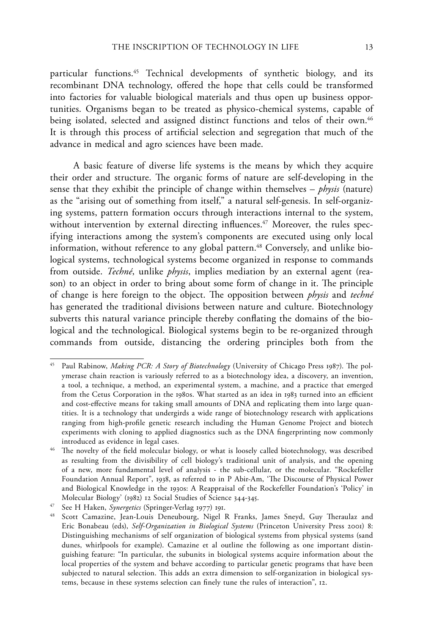particular functions.45 Technical developments of synthetic biology, and its recombinant DNA technology, offered the hope that cells could be transformed into factories for valuable biological materials and thus open up business opportunities. Organisms began to be treated as physico-chemical systems, capable of being isolated, selected and assigned distinct functions and telos of their own.<sup>46</sup> It is through this process of artificial selection and segregation that much of the advance in medical and agro sciences have been made.

A basic feature of diverse life systems is the means by which they acquire their order and structure. The organic forms of nature are self-developing in the sense that they exhibit the principle of change within themselves – *physis* (nature) as the "arising out of something from itself," a natural self-genesis. In self-organizing systems, pattern formation occurs through interactions internal to the system, without intervention by external directing influences.<sup>47</sup> Moreover, the rules specifying interactions among the system's components are executed using only local information, without reference to any global pattern.<sup>48</sup> Conversely, and unlike biological systems, technological systems become organized in response to commands from outside. *Techné*, unlike *physis*, implies mediation by an external agent (reason) to an object in order to bring about some form of change in it. The principle of change is here foreign to the object. The opposition between *physis* and *techné*  has generated the traditional divisions between nature and culture. Biotechnology subverts this natural variance principle thereby conflating the domains of the biological and the technological. Biological systems begin to be re-organized through commands from outside, distancing the ordering principles both from the

<sup>45</sup> Paul Rabinow, *Making PCR: A Story of Biotechnology* (University of Chicago Press 1987). The polymerase chain reaction is variously referred to as a biotechnology idea, a discovery, an invention, a tool, a technique, a method, an experimental system, a machine, and a practice that emerged from the Cetus Corporation in the 1980s. What started as an idea in 1983 turned into an efficient and cost-effective means for taking small amounts of DNA and replicating them into large quantities. It is a technology that undergirds a wide range of biotechnology research with applications ranging from high-profile genetic research including the Human Genome Project and biotech experiments with cloning to applied diagnostics such as the DNA fingerprinting now commonly introduced as evidence in legal cases.

The novelty of the field molecular biology, or what is loosely called biotechnology, was described as resulting from the divisibility of cell biology's traditional unit of analysis, and the opening of a new, more fundamental level of analysis - the sub-cellular, or the molecular. "Rockefeller Foundation Annual Report", 1938, as referred to in P Abir-Am, 'The Discourse of Physical Power and Biological Knowledge in the 1930s: A Reappraisal of the Rockefeller Foundation's 'Policy' in Molecular Biology' (1982) 12 Social Studies of Science 344-345.

<sup>47</sup> See H Haken, *Synergetics* (Springer-Verlag 1977) 191.

<sup>48</sup> Scott Camazine, Jean-Louis Deneubourg, Nigel R Franks, James Sneyd, Guy Theraulaz and Eric Bonabeau (eds), *Self-Organization in Biological Systems* (Princeton University Press 2001) 8: Distinguishing mechanisms of self organization of biological systems from physical systems (sand dunes, whirlpools for example). Camazine et al outline the following as one important distinguishing feature: "In particular, the subunits in biological systems acquire information about the local properties of the system and behave according to particular genetic programs that have been subjected to natural selection. This adds an extra dimension to self-organization in biological systems, because in these systems selection can finely tune the rules of interaction", 12.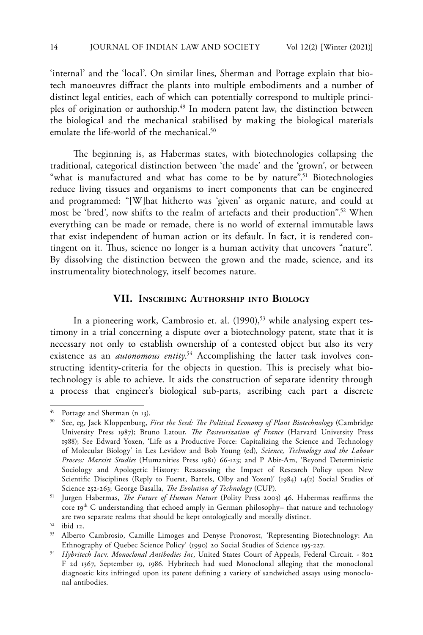'internal' and the 'local'. On similar lines, Sherman and Pottage explain that biotech manoeuvres diffract the plants into multiple embodiments and a number of distinct legal entities, each of which can potentially correspond to multiple principles of origination or authorship.<sup>49</sup> In modern patent law, the distinction between the biological and the mechanical stabilised by making the biological materials emulate the life-world of the mechanical.<sup>50</sup>

The beginning is, as Habermas states, with biotechnologies collapsing the traditional, categorical distinction between 'the made' and the 'grown', or between "what is manufactured and what has come to be by nature".<sup>51</sup> Biotechnologies reduce living tissues and organisms to inert components that can be engineered and programmed: "[W]hat hitherto was 'given' as organic nature, and could at most be 'bred', now shifts to the realm of artefacts and their production".52 When everything can be made or remade, there is no world of external immutable laws that exist independent of human action or its default. In fact, it is rendered contingent on it. Thus, science no longer is a human activity that uncovers "nature". By dissolving the distinction between the grown and the made, science, and its instrumentality biotechnology, itself becomes nature.

#### **VII. Inscribing Authorship into Biology**

In a pioneering work, Cambrosio et. al. (1990),<sup>53</sup> while analysing expert testimony in a trial concerning a dispute over a biotechnology patent, state that it is necessary not only to establish ownership of a contested object but also its very existence as an *autonomous entity*. 54 Accomplishing the latter task involves constructing identity-criteria for the objects in question. This is precisely what biotechnology is able to achieve. It aids the construction of separate identity through a process that engineer's biological sub-parts, ascribing each part a discrete

<sup>49</sup> Pottage and Sherman (n 13).

<sup>50</sup> See, eg, Jack Kloppenburg, *First the Seed: The Political Economy of Plant Biotechnology* (Cambridge University Press 1987); Bruno Latour, *The Pasteurization of France* (Harvard University Press 1988); See Edward Yoxen, 'Life as a Productive Force: Capitalizing the Science and Technology of Molecular Biology' in Les Levidow and Bob Young (ed), *Science, Technology and the Labour Process: Marxist Studies* (Humanities Press 1981) 66-123; and P Abir-Am, 'Beyond Deterministic Sociology and Apologetic History: Reassessing the Impact of Research Policy upon New Scientific Disciplines (Reply to Fuerst, Bartels, Olby and Yoxen)' (1984) 14(2) Social Studies of Science 252-263; George Basalla, *The Evolution of Technology* (CUP).

<sup>51</sup> Jurgen Habermas, *The Future of Human Nature* (Polity Press 2003) 46. Habermas reaffirms the core 19<sup>th</sup> C understanding that echoed amply in German philosophy- that nature and technology are two separate realms that should be kept ontologically and morally distinct.

<sup>52</sup> ibid 12.

<sup>53</sup> Alberto Cambrosio, Camille Limoges and Denyse Pronovost, 'Representing Biotechnology: An Ethnography of Quebec Science Policy' (1990) 20 Social Studies of Science 195-227.

<sup>54</sup> *Hybritech Inc*v. *Monoclonal Antibodies Inc*, United States Court of Appeals, Federal Circuit. - 802 F 2d 1367, September 19, 1986. Hybritech had sued Monoclonal alleging that the monoclonal diagnostic kits infringed upon its patent defining a variety of sandwiched assays using monoclonal antibodies.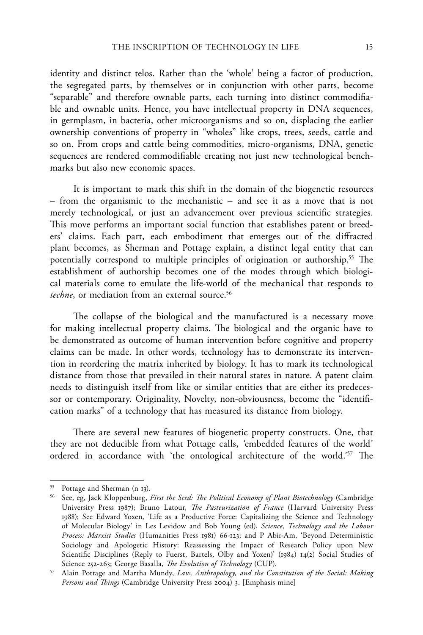identity and distinct telos. Rather than the 'whole' being a factor of production, the segregated parts, by themselves or in conjunction with other parts, become "separable" and therefore ownable parts, each turning into distinct commodifiable and ownable units. Hence, you have intellectual property in DNA sequences, in germplasm, in bacteria, other microorganisms and so on, displacing the earlier ownership conventions of property in "wholes" like crops, trees, seeds, cattle and so on. From crops and cattle being commodities, micro-organisms, DNA, genetic sequences are rendered commodifiable creating not just new technological benchmarks but also new economic spaces.

It is important to mark this shift in the domain of the biogenetic resources – from the organismic to the mechanistic – and see it as a move that is not merely technological, or just an advancement over previous scientific strategies. This move performs an important social function that establishes patent or breeders' claims. Each part, each embodiment that emerges out of the diffracted plant becomes, as Sherman and Pottage explain, a distinct legal entity that can potentially correspond to multiple principles of origination or authorship.<sup>55</sup> The establishment of authorship becomes one of the modes through which biological materials come to emulate the life-world of the mechanical that responds to *techne*, or mediation from an external source.<sup>56</sup>

The collapse of the biological and the manufactured is a necessary move for making intellectual property claims. The biological and the organic have to be demonstrated as outcome of human intervention before cognitive and property claims can be made. In other words, technology has to demonstrate its intervention in reordering the matrix inherited by biology. It has to mark its technological distance from those that prevailed in their natural states in nature. A patent claim needs to distinguish itself from like or similar entities that are either its predecessor or contemporary. Originality, Novelty, non-obviousness, become the "identification marks" of a technology that has measured its distance from biology.

There are several new features of biogenetic property constructs. One, that they are not deducible from what Pottage calls, *'*embedded features of the world' ordered in accordance with 'the ontological architecture of the world.'57 The

<sup>55</sup> Pottage and Sherman (n 13).

<sup>56</sup> See, eg, Jack Kloppenburg, *First the Seed: The Political Economy of Plant Biotechnology* (Cambridge University Press 1987); Bruno Latour, *The Pasteurization of France* (Harvard University Press 1988); See Edward Yoxen, 'Life as a Productive Force: Capitalizing the Science and Technology of Molecular Biology' in Les Levidow and Bob Young (ed), *Science, Technology and the Labour Process: Marxist Studies* (Humanities Press 1981) 66-123; and P Abir-Am, 'Beyond Deterministic Sociology and Apologetic History: Reassessing the Impact of Research Policy upon New Scientific Disciplines (Reply to Fuerst, Bartels, Olby and Yoxen)' (1984) 14(2) Social Studies of Science 252-263; George Basalla, *The Evolution of Technology* (CUP).

<sup>57</sup> Alain Pottage and Martha Mundy, *Law, Anthropology, and the Constitution of the Social: Making Persons and Things* (Cambridge University Press 2004) 3. [Emphasis mine]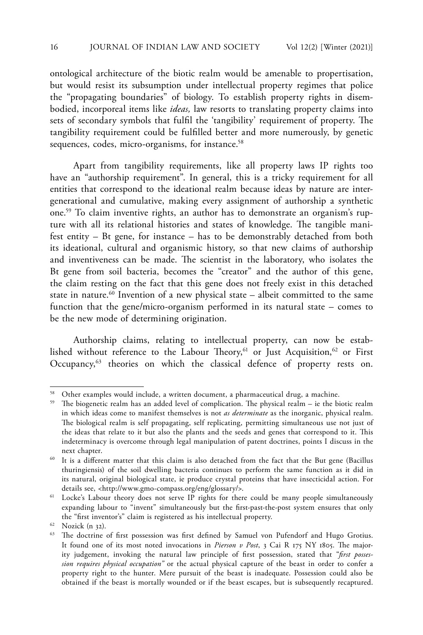ontological architecture of the biotic realm would be amenable to propertisation, but would resist its subsumption under intellectual property regimes that police the "propagating boundaries" of biology. To establish property rights in disembodied, incorporeal items like *ideas,* law resorts to translating property claims into sets of secondary symbols that fulfil the 'tangibility' requirement of property. The tangibility requirement could be fulfilled better and more numerously, by genetic sequences, codes, micro-organisms, for instance.<sup>58</sup>

Apart from tangibility requirements, like all property laws IP rights too have an "authorship requirement". In general, this is a tricky requirement for all entities that correspond to the ideational realm because ideas by nature are intergenerational and cumulative, making every assignment of authorship a synthetic one.59 To claim inventive rights, an author has to demonstrate an organism's rupture with all its relational histories and states of knowledge. The tangible manifest entity – Bt gene, for instance – has to be demonstrably detached from both its ideational, cultural and organismic history, so that new claims of authorship and inventiveness can be made. The scientist in the laboratory, who isolates the Bt gene from soil bacteria, becomes the "creator" and the author of this gene, the claim resting on the fact that this gene does not freely exist in this detached state in nature.<sup>60</sup> Invention of a new physical state – albeit committed to the same function that the gene/micro-organism performed in its natural state – comes to be the new mode of determining origination.

Authorship claims, relating to intellectual property, can now be established without reference to the Labour Theory,<sup>61</sup> or Just Acquisition,<sup>62</sup> or First Occupancy,<sup>63</sup> theories on which the classical defence of property rests on.

Other examples would include, a written document, a pharmaceutical drug, a machine.

<sup>&</sup>lt;sup>59</sup> The biogenetic realm has an added level of complication. The physical realm – ie the biotic realm in which ideas come to manifest themselves is not *as determinate* as the inorganic, physical realm. The biological realm is self propagating, self replicating, permitting simultaneous use not just of the ideas that relate to it but also the plants and the seeds and genes that correspond to it. This indeterminacy is overcome through legal manipulation of patent doctrines, points I discuss in the next chapter.

<sup>&</sup>lt;sup>60</sup> It is a different matter that this claim is also detached from the fact that the But gene (Bacillus thuringiensis) of the soil dwelling bacteria continues to perform the same function as it did in its natural, original biological state, ie produce crystal proteins that have insecticidal action. For details see, <http://www.gmo-compass.org/eng/glossary/>.

<sup>&</sup>lt;sup>61</sup> Locke's Labour theory does not serve IP rights for there could be many people simultaneously expanding labour to "invent" simultaneously but the first-past-the-post system ensures that only the "first inventor's" claim is registered as his intellectual property.

<sup>62</sup> Nozick (n 32).

<sup>&</sup>lt;sup>63</sup> The doctrine of first possession was first defined by Samuel von Pufendorf and Hugo Grotius. It found one of its most noted invocations in *Pierson v Post*, 3 Cai R 175 NY 1805. The majority judgement, invoking the natural law principle of first possession, stated that "*first possession requires physical occupation"* or the actual physical capture of the beast in order to confer a property right to the hunter. Mere pursuit of the beast is inadequate. Possession could also be obtained if the beast is mortally wounded or if the beast escapes, but is subsequently recaptured.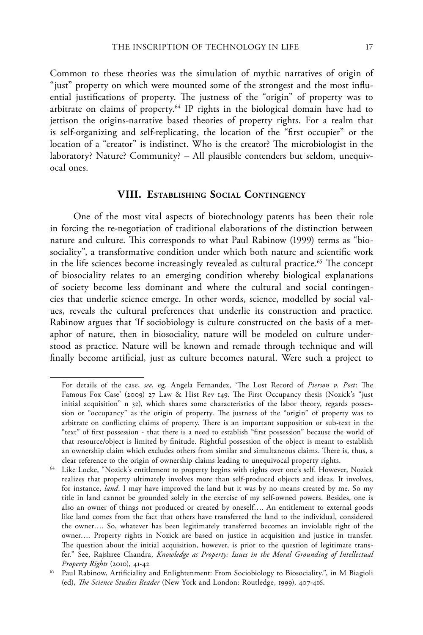Common to these theories was the simulation of mythic narratives of origin of "just" property on which were mounted some of the strongest and the most influential justifications of property. The justness of the "origin" of property was to arbitrate on claims of property.<sup>64</sup> IP rights in the biological domain have had to jettison the origins-narrative based theories of property rights. For a realm that is self-organizing and self-replicating, the location of the "first occupier" or the location of a "creator" is indistinct. Who is the creator? The microbiologist in the laboratory? Nature? Community? – All plausible contenders but seldom, unequivocal ones.

# **VIII. Establishing Social Contingency**

One of the most vital aspects of biotechnology patents has been their role in forcing the re-negotiation of traditional elaborations of the distinction between nature and culture. This corresponds to what Paul Rabinow (1999) terms as "biosociality", a transformative condition under which both nature and scientific work in the life sciences become increasingly revealed as cultural practice.<sup>65</sup> The concept of biosociality relates to an emerging condition whereby biological explanations of society become less dominant and where the cultural and social contingencies that underlie science emerge. In other words, science, modelled by social values, reveals the cultural preferences that underlie its construction and practice. Rabinow argues that 'If sociobiology is culture constructed on the basis of a metaphor of nature, then in biosociality, nature will be modeled on culture understood as practice. Nature will be known and remade through technique and will finally become artificial, just as culture becomes natural. Were such a project to

For details of the case, *see*, eg, Angela Fernandez, 'The Lost Record of *Pierson v. Post*: The Famous Fox Case' (2009) 27 Law & Hist Rev 149. The First Occupancy thesis (Nozick's "just initial acquisition" n 32), which shares some characteristics of the labor theory, regards possession or "occupancy" as the origin of property. The justness of the "origin" of property was to arbitrate on conflicting claims of property. There is an important supposition or sub-text in the "text" of first possession - that there is a need to establish "first possession" because the world of that resource/object is limited by finitude. Rightful possession of the object is meant to establish an ownership claim which excludes others from similar and simultaneous claims. There is, thus, a clear reference to the origin of ownership claims leading to unequivocal property rights.

<sup>64</sup> Like Locke, "Nozick's entitlement to property begins with rights over one's self. However, Nozick realizes that property ultimately involves more than self-produced objects and ideas. It involves, for instance, *land*. I may have improved the land but it was by no means created by me. So my title in land cannot be grounded solely in the exercise of my self-owned powers. Besides, one is also an owner of things not produced or created by oneself…. An entitlement to external goods like land comes from the fact that others have transferred the land to the individual, considered the owner…. So, whatever has been legitimately transferred becomes an inviolable right of the owner…. Property rights in Nozick are based on justice in acquisition and justice in transfer. The question about the initial acquisition, however, is prior to the question of legitimate transfer." See, Rajshree Chandra, *Knowledge as Property: Issues in the Moral Grounding of Intellectual Property Rights* (2010), 41-42

<sup>65</sup> Paul Rabinow, Artificiality and Enlightenment: From Sociobiology to Biosociality.", in M Biagioli (ed), *The Science Studies Reader* (New York and London: Routledge, 1999), 407-416.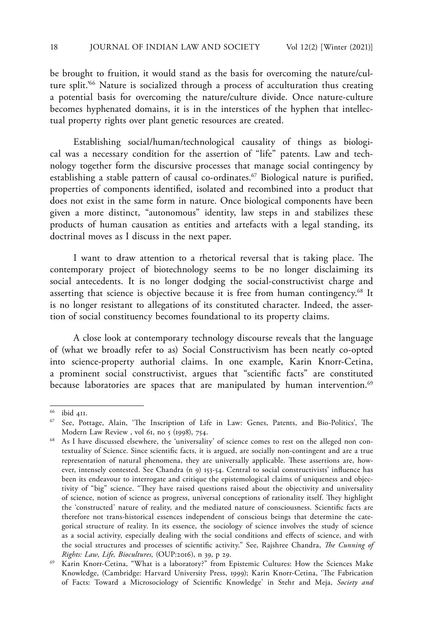be brought to fruition, it would stand as the basis for overcoming the nature/culture split.'66 Nature is socialized through a process of acculturation thus creating a potential basis for overcoming the nature/culture divide. Once nature-culture becomes hyphenated domains, it is in the interstices of the hyphen that intellectual property rights over plant genetic resources are created.

Establishing social/human/technological causality of things as biological was a necessary condition for the assertion of "life" patents. Law and technology together form the discursive processes that manage social contingency by establishing a stable pattern of causal co-ordinates.<sup>67</sup> Biological nature is purified, properties of components identified, isolated and recombined into a product that does not exist in the same form in nature. Once biological components have been given a more distinct, "autonomous" identity, law steps in and stabilizes these products of human causation as entities and artefacts with a legal standing, its doctrinal moves as I discuss in the next paper.

I want to draw attention to a rhetorical reversal that is taking place. The contemporary project of biotechnology seems to be no longer disclaiming its social antecedents. It is no longer dodging the social-constructivist charge and asserting that science is objective because it is free from human contingency.<sup>68</sup> It is no longer resistant to allegations of its constituted character. Indeed, the assertion of social constituency becomes foundational to its property claims.

A close look at contemporary technology discourse reveals that the language of (what we broadly refer to as) Social Constructivism has been neatly co-opted into science-property authorial claims. In one example, Karin Knorr-Cetina, a prominent social constructivist, argues that "scientific facts" are constituted because laboratories are spaces that are manipulated by human intervention.<sup>69</sup>

<sup>66</sup> ibid 411.

<sup>67</sup> See, Pottage, Alain, 'The Inscription of Life in Law: Genes, Patents, and Bio-Politics', The Modern Law Review , vol 61, no 5 (1998), 754.

<sup>68</sup> As I have discussed elsewhere, the 'universality' of science comes to rest on the alleged non contextuality of Science. Since scientific facts, it is argued, are socially non-contingent and are a true representation of natural phenomena, they are universally applicable. These assertions are, however, intensely contested. See Chandra (n 9) 153-54. Central to social constructivists' influence has been its endeavour to interrogate and critique the epistemological claims of uniqueness and objectivity of "big" science. "They have raised questions raised about the objectivity and universality of science, notion of science as progress, universal conceptions of rationality itself. They highlight the 'constructed' nature of reality, and the mediated nature of consciousness. Scientific facts are therefore not trans-historical essences independent of conscious beings that determine the categorical structure of reality. In its essence, the sociology of science involves the study of science as a social activity, especially dealing with the social conditions and effects of science, and with the social structures and processes of scientific activity." See, Rajshree Chandra, *The Cunning of Rights: Law, Life, Biocultures,* (OUP:2016), n 39, p 29.

<sup>69</sup> Karin Knorr-Cetina, "What is a laboratory?" from Epistemic Cultures: How the Sciences Make Knowledge, (Cambridge: Harvard University Press, 1999); Karin Knorr-Cetina, 'The Fabrication of Facts: Toward a Microsociology of Scientific Knowledge' in Stehr and Meja, *Society and*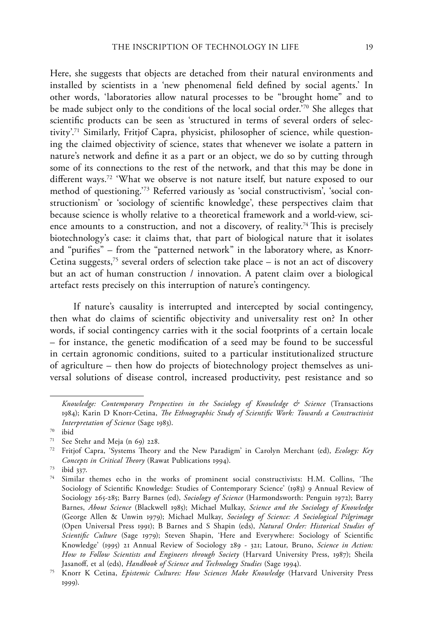Here, she suggests that objects are detached from their natural environments and installed by scientists in a 'new phenomenal field defined by social agents.' In other words, 'laboratories allow natural processes to be "brought home" and to be made subject only to the conditions of the local social order.'70 She alleges that scientific products can be seen as 'structured in terms of several orders of selectivity'.71 Similarly, Fritjof Capra, physicist, philosopher of science, while questioning the claimed objectivity of science, states that whenever we isolate a pattern in nature's network and define it as a part or an object, we do so by cutting through some of its connections to the rest of the network, and that this may be done in different ways.72 'What we observe is not nature itself, but nature exposed to our method of questioning.'73 Referred variously as 'social constructivism', 'social constructionism' or 'sociology of scientific knowledge', these perspectives claim that because science is wholly relative to a theoretical framework and a world-view, science amounts to a construction, and not a discovery, of reality.<sup>74</sup> This is precisely biotechnology's case: it claims that, that part of biological nature that it isolates and "purifies" – from the "patterned network" in the laboratory where, as Knorr-Cetina suggests,<sup>75</sup> several orders of selection take place  $-$  is not an act of discovery but an act of human construction / innovation. A patent claim over a biological artefact rests precisely on this interruption of nature's contingency.

If nature's causality is interrupted and intercepted by social contingency, then what do claims of scientific objectivity and universality rest on? In other words, if social contingency carries with it the social footprints of a certain locale – for instance, the genetic modification of a seed may be found to be successful in certain agronomic conditions, suited to a particular institutionalized structure of agriculture – then how do projects of biotechnology project themselves as universal solutions of disease control, increased productivity, pest resistance and so

*Knowledge: Contemporary Perspectives in the Sociology of Knowledge & Science* (Transactions 1984); Karin D Knorr-Cetina, *The Ethnographic Study of Scientific Work: Towards a Constructivist Interpretation of Science* (Sage 1983).

 $70$  ibid<br> $71$  See

See Stehr and Meja (n 69) 228.

<sup>72</sup> Fritjof Capra, 'Systems Theory and the New Paradigm' in Carolyn Merchant (ed), *Ecology: Key Concepts in Critical Theory* (Rawat Publications 1994).

<sup>73</sup> ibid 337.

<sup>74</sup> Similar themes echo in the works of prominent social constructivists: H.M. Collins, 'The Sociology of Scientific Knowledge: Studies of Contemporary Science' (1983) 9 Annual Review of Sociology 265-285; Barry Barnes (ed), *Sociology of Science* (Harmondsworth: Penguin 1972); Barry Barnes, *About Science* (Blackwell 1985); Michael Mulkay, *Science and the Sociology of Knowledge* (George Allen & Unwin 1979); Michael Mulkay, *Sociology of Science: A Sociological Pilgrimage* (Open Universal Press 1991); B Barnes and S Shapin (eds), *Natural Order: Historical Studies of Scientific Culture* (Sage 1979); Steven Shapin, 'Here and Everywhere: Sociology of Scientific Knowledge' (1995) 21 Annual Review of Sociology 289 - 321; Latour, Bruno, *Science in Action: How to Follow Scientists and Engineers through Society* (Harvard University Press, 1987); Sheila Jasanoff, et al (eds), *Handbook of Science and Technology Studies* (Sage 1994).

<sup>75</sup> Knorr K Cetina, *Epistemic Cultures: How Sciences Make Knowledge* (Harvard University Press 1999).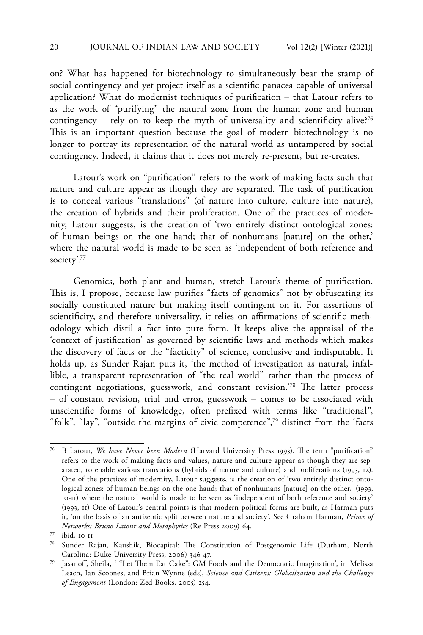on? What has happened for biotechnology to simultaneously bear the stamp of social contingency and yet project itself as a scientific panacea capable of universal application? What do modernist techniques of purification – that Latour refers to as the work of "purifying" the natural zone from the human zone and human contingency – rely on to keep the myth of universality and scientificity alive?<sup>76</sup> This is an important question because the goal of modern biotechnology is no longer to portray its representation of the natural world as untampered by social contingency. Indeed, it claims that it does not merely re-present, but re-creates.

Latour's work on "purification" refers to the work of making facts such that nature and culture appear as though they are separated. The task of purification is to conceal various "translations" (of nature into culture, culture into nature), the creation of hybrids and their proliferation. One of the practices of modernity, Latour suggests, is the creation of 'two entirely distinct ontological zones: of human beings on the one hand; that of nonhumans [nature] on the other,' where the natural world is made to be seen as 'independent of both reference and society'.77

Genomics, both plant and human, stretch Latour's theme of purification. This is, I propose, because law purifies "facts of genomics" not by obfuscating its socially constituted nature but making itself contingent on it. For assertions of scientificity, and therefore universality, it relies on affirmations of scientific methodology which distil a fact into pure form. It keeps alive the appraisal of the 'context of justification' as governed by scientific laws and methods which makes the discovery of facts or the "facticity" of science, conclusive and indisputable. It holds up, as Sunder Rajan puts it, 'the method of investigation as natural, infallible, a transparent representation of "the real world" rather than the process of contingent negotiations, guesswork, and constant revision.'78 The latter process – of constant revision, trial and error, guesswork – comes to be associated with unscientific forms of knowledge, often prefixed with terms like "traditional", "folk", "lay", "outside the margins of civic competence",<sup>79</sup> distinct from the 'facts

<sup>76</sup> B Latour, *We have Never been Modern* (Harvard University Press 1993). The term "purification" refers to the work of making facts and values, nature and culture appear as though they are separated, to enable various translations (hybrids of nature and culture) and proliferations (1993, 12). One of the practices of modernity, Latour suggests, is the creation of 'two entirely distinct ontological zones: of human beings on the one hand; that of nonhumans [nature] on the other,' (1993, 10-11) where the natural world is made to be seen as 'independent of both reference and society' (1993, 11) One of Latour's central points is that modern political forms are built, as Harman puts it, 'on the basis of an antiseptic split between nature and society'. See Graham Harman, *Prince of Networks: Bruno Latour and Metaphysics* (Re Press 2009) 64.

<sup>77</sup> ibid, 10-11

<sup>78</sup> Sunder Rajan, Kaushik, Biocapital: The Constitution of Postgenomic Life (Durham, North Carolina: Duke University Press, 2006) 346-47.

<sup>79</sup> Jasanoff, Sheila, ' "Let Them Eat Cake": GM Foods and the Democratic Imagination', in Melissa Leach, Ian Scoones, and Brian Wynne (eds), *Science and Citizens: Globalization and the Challenge of Engagement* (London: Zed Books, 2005) 254.